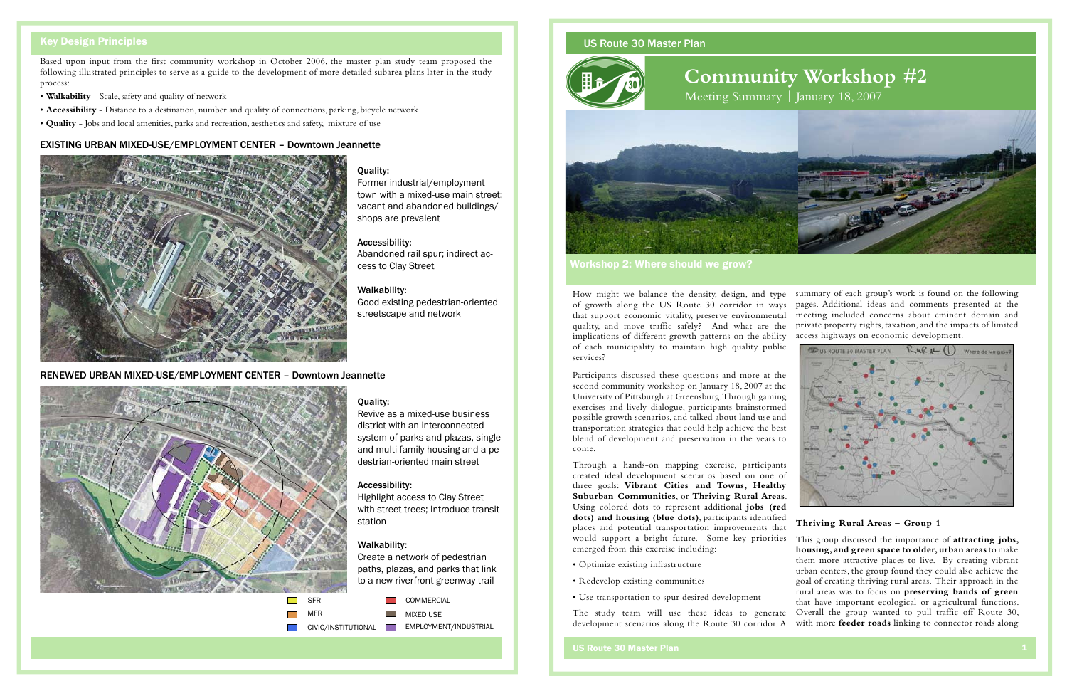## US Route 30 Master Plan



**Community Workshop #2**







Workshop 2: Where should we grow?

## US Route 30 Master Plan 1

Participants discussed these questions and more at the second community workshop on January 18, 2007 at the University of Pittsburgh at Greensburg. Through gaming exercises and lively dialogue, participants brainstormed possible growth scenarios, and talked about land use and transportation strategies that could help achieve the best blend of development and preservation in the years to come.

summary of each group's work is found on the following How might we balance the density, design, and type pages. Additional ideas and comments presented at the of growth along the US Route 30 corridor in ways meeting included concerns about eminent domain and that support economic vitality, preserve environmental private property rights, taxation, and the impacts of limited quality, and move traffic safely? And what are the access highways on economic development. implications of different growth patterns on the ability of each municipality to maintain high quality public **ED US ROUTE 30 MASTER PLAN** Where do we grow services?

Through a hands-on mapping exercise, participants created ideal development scenarios based on one of three goals: **Vibrant Cities and Towns, Healthy Suburban Communities**, or **Thriving Rural Areas**. Using colored dots to represent additional **jobs (red dots) and housing (blue dots)**, participants identified places and potential transportation improvements that would support a bright future. Some key priorities emerged from this exercise including:

- 
- 
- Use transportation to spur desired development

## **Thriving Rural Areas – Group 1**

• Optimize existing infrastructure • Redevelop existing communities The study team will use these ideas to generate development scenarios along the Route 30 corridor. A This group discussed the importance of **attracting jobs, housing, and green space to older, urban areas** to make them more attractive places to live. By creating vibrant urban centers, the group found they could also achieve the goal of creating thriving rural areas. Their approach in the rural areas was to focus on **preserving bands of green** that have important ecological or agricultural functions. Overall the group wanted to pull traffic off Route 30, with more **feeder roads** linking to connector roads along

**The Co** MIXED USE

# Key Design Principles

Based upon input from the first community workshop in October 2006, the master plan study team proposed the following illustrated principles to serve as a guide to the development of more detailed subarea plans later in the study process:

- **Walkability** Scale, safety and quality of network
- **Accessibility** Distance to a destination, number and quality of connections, parking, bicycle network
- **Quality** Jobs and local amenities, parks and recreation, aesthetics and safety, mixture of use

# Quality:

Revive as a mixed-use business district with an interconnected system of parks and plazas, single and multi-family housing and a pedestrian-oriented main street

## Accessibility:

Highlight access to Clay Street with street trees; Introduce transit station

## Walkability:

Create a network of pedestrian paths, plazas, and parks that link to a new riverfront greenway trail

Quality:

Former industrial/employment town with a mixed-use main street; vacant and abandoned buildings/

shops are prevalent

Accessibility:

Abandoned rail spur; indirect ac-

cess to Clay Street

Walkability:

Good existing pedestrian-oriented

streetscape and network

## EXISTING URBAN MIXED-USE/EMPLOYMENT CENTER – Downtown Jeannette



## RENEWED URBAN MIXED-USE/EMPLOYMENT CENTER – Downtown Jeannette



MFR

 $\mathcal{L}^{\text{max}}$ 

COMMERCIAL

CIVIC/INSTITUTIONAL EMPLOYMENT/INDUSTRIAL